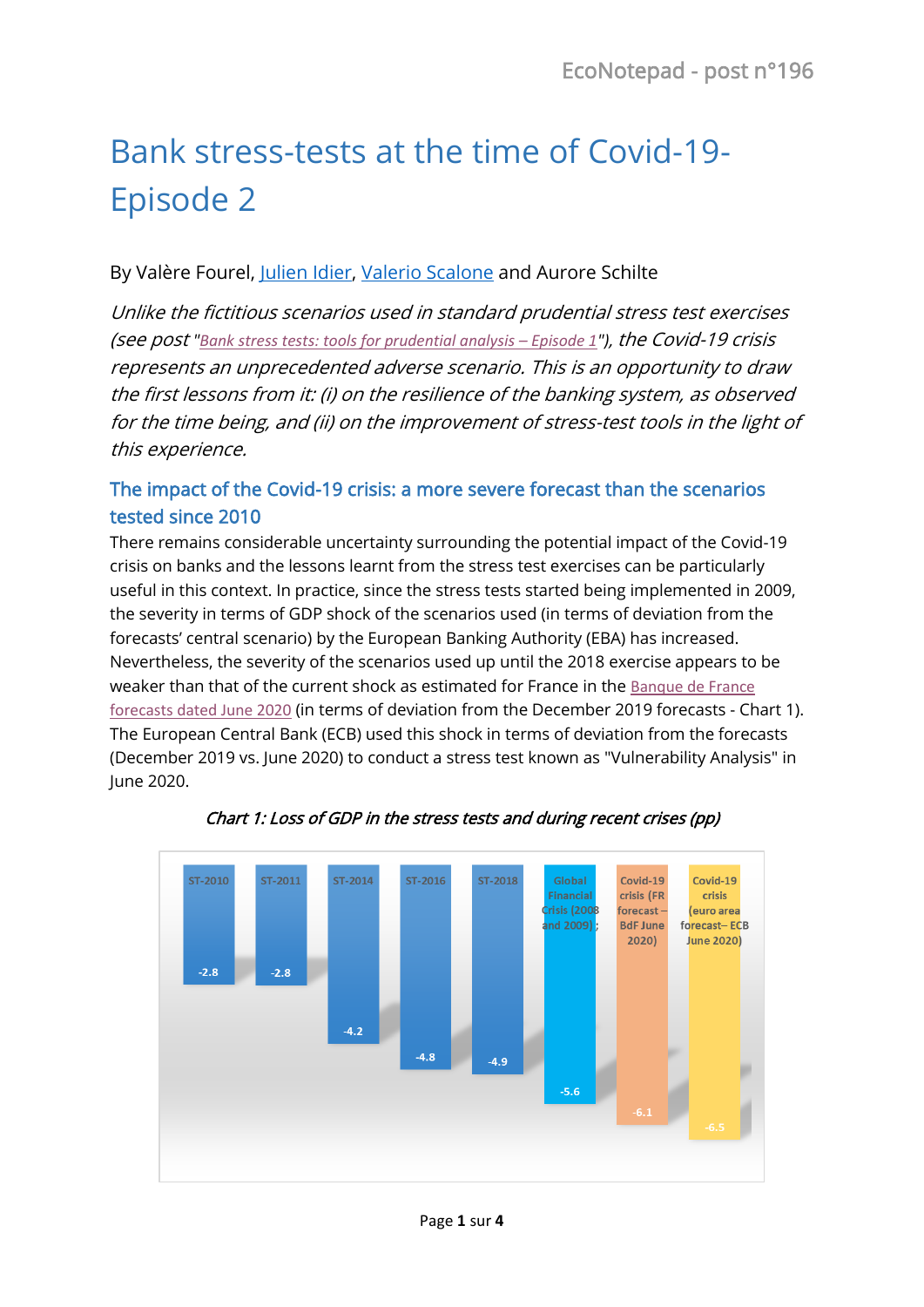# Bank stress-tests at the time of Covid-19- Episode 2

#### By Valère Fourel, [Julien Idier,](https://www.banque-france.fr/economie/economistes-et-chercheurs/julien-idier) [Valerio Scalone](https://www.banque-france.fr/valerio-scalone) and Aurore Schilte

Unlike the fictitious scenarios used in standard prudential stress test exercises (see post *["Bank stress tests: tools for prudential analysis](https://blocnotesdeleco.banque-france.fr/en/blog-entry/bank-stress-tests-tools-prudential-analysis-episode-1) – Episode 1"),* the Covid-19 crisis represents an unprecedented adverse scenario. This is an opportunity to draw the first lessons from it: (i) on the resilience of the banking system, as observed for the time being, and (ii) on the improvement of stress-test tools in the light of this experience.

## The impact of the Covid-19 crisis: a more severe forecast than the scenarios tested since 2010

There remains considerable uncertainty surrounding the potential impact of the Covid-19 crisis on banks and the lessons learnt from the stress test exercises can be particularly useful in this context. In practice, since the stress tests started being implemented in 2009, the severity in terms of GDP shock of the scenarios used (in terms of deviation from the forecasts' central scenario) by the European Banking Authority (EBA) has increased. Nevertheless, the severity of the scenarios used up until the 2018 exercise appears to be weaker than that of the current shock as estimated for France in the [Banque de France](https://publications.banque-france.fr/en/macroeconomic-projections-june-2020)  [forecasts dated June 2020](https://publications.banque-france.fr/en/macroeconomic-projections-june-2020) (in terms of deviation from the December 2019 forecasts - Chart 1). The European Central Bank (ECB) used this shock in terms of deviation from the forecasts (December 2019 vs. June 2020) to conduct a stress test known as "Vulnerability Analysis" in June 2020.



Chart 1: Loss of GDP in the stress tests and during recent crises (pp)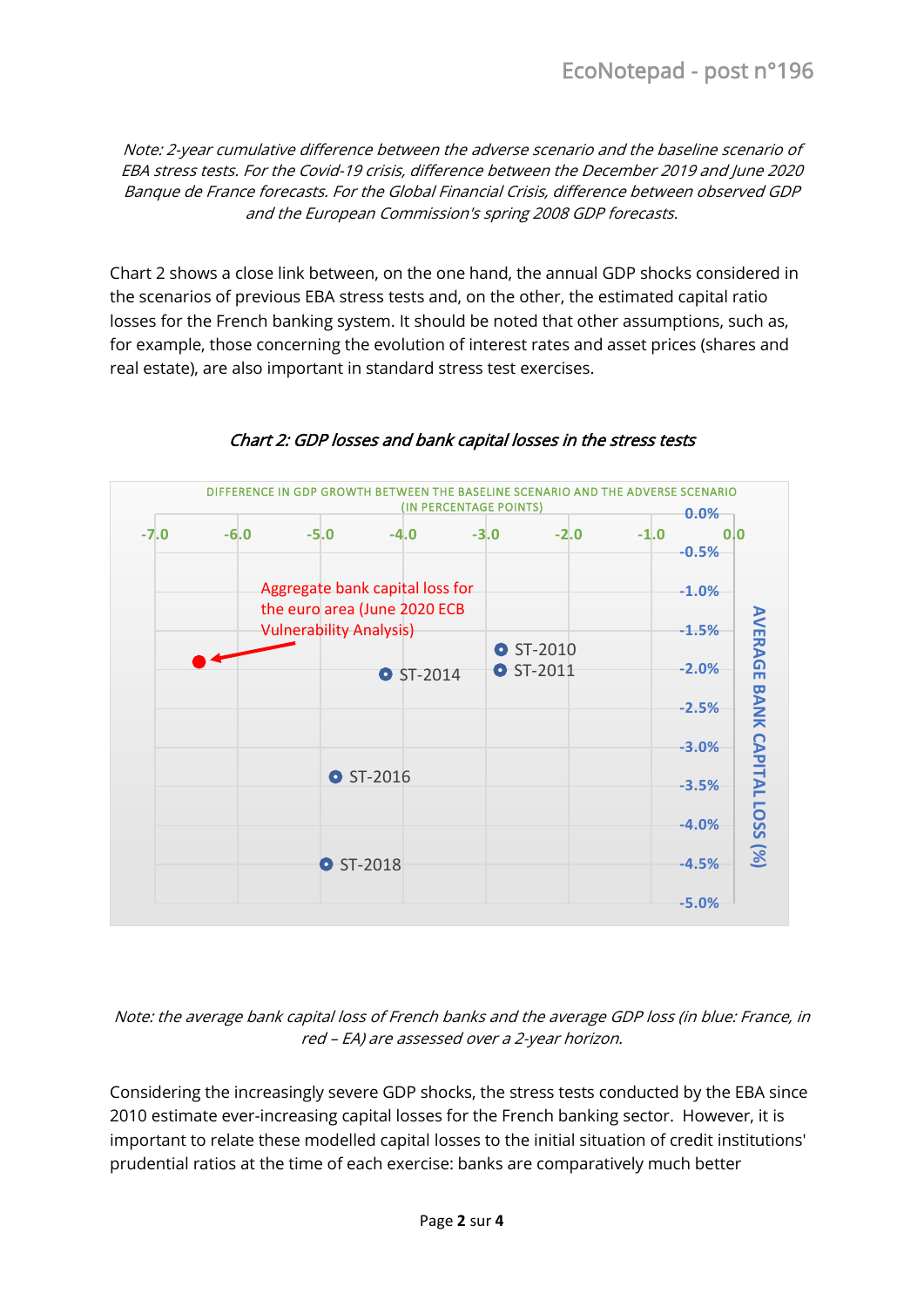Note: 2-year cumulative difference between the adverse scenario and the baseline scenario of EBA stress tests. For the Covid-19 crisis, difference between the December 2019 and June 2020 Banque de France forecasts. For the Global Financial Crisis, difference between observed GDP and the European Commission's spring 2008 GDP forecasts.

Chart 2 shows a close link between, on the one hand, the annual GDP shocks considered in the scenarios of previous EBA stress tests and, on the other, the estimated capital ratio losses for the French banking system. It should be noted that other assumptions, such as, for example, those concerning the evolution of interest rates and asset prices (shares and real estate), are also important in standard stress test exercises.



#### Chart 2: GDP losses and bank capital losses in the stress tests

Note: the average bank capital loss of French banks and the average GDP loss (in blue: France, in red – EA) are assessed over a 2-year horizon.

Considering the increasingly severe GDP shocks, the stress tests conducted by the EBA since 2010 estimate ever-increasing capital losses for the French banking sector. However, it is important to relate these modelled capital losses to the initial situation of credit institutions' prudential ratios at the time of each exercise: banks are comparatively much better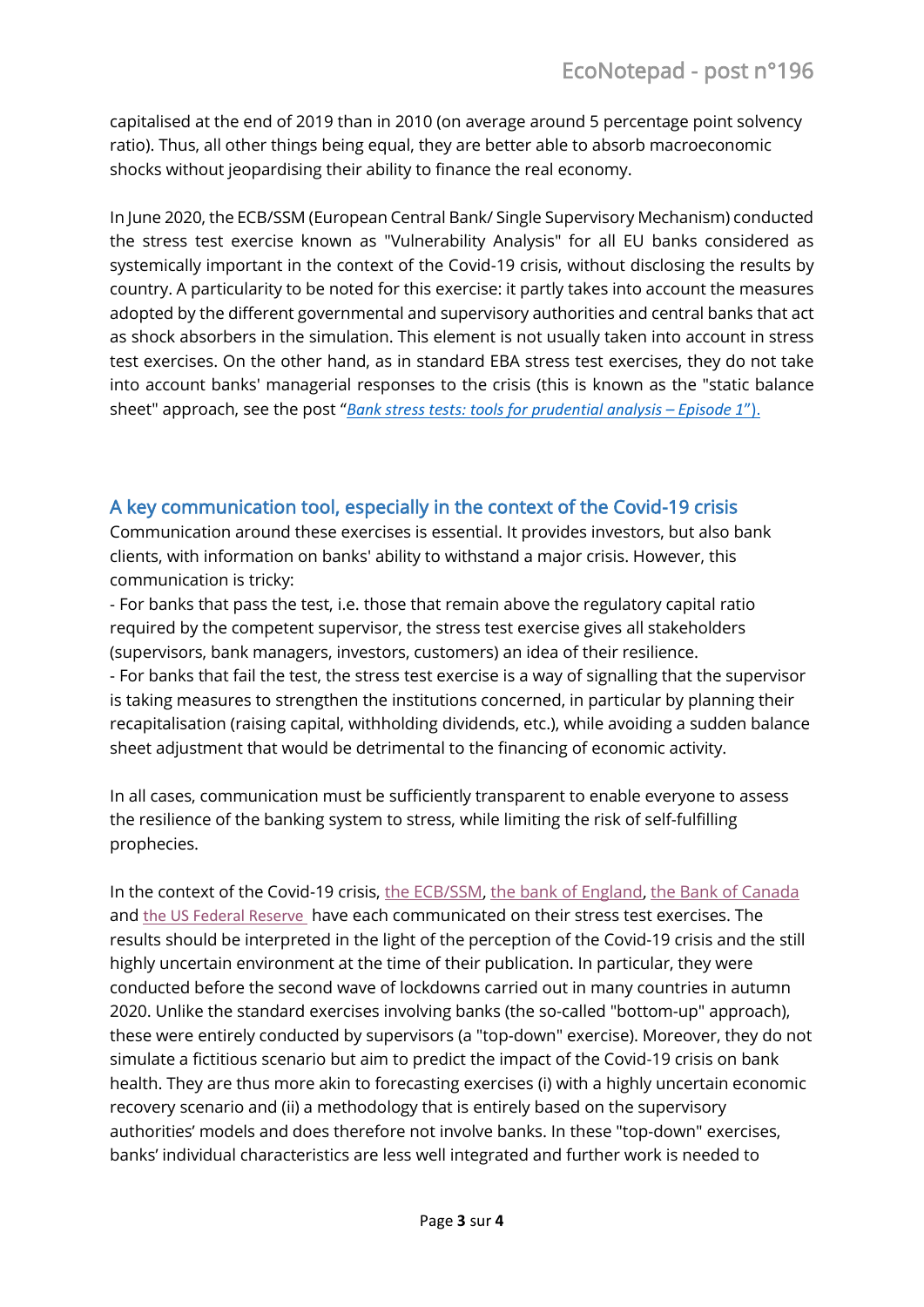capitalised at the end of 2019 than in 2010 (on average around 5 percentage point solvency ratio). Thus, all other things being equal, they are better able to absorb macroeconomic shocks without jeopardising their ability to finance the real economy.

In June 2020, the ECB/SSM (European Central Bank/ Single Supervisory Mechanism) conducted the stress test exercise known as "Vulnerability Analysis" for all EU banks considered as systemically important in the context of the Covid-19 crisis, without disclosing the results by country. A particularity to be noted for this exercise: it partly takes into account the measures adopted by the different governmental and supervisory authorities and central banks that act as shock absorbers in the simulation. This element is not usually taken into account in stress test exercises. On the other hand, as in standard EBA stress test exercises, they do not take into account banks' managerial responses to the crisis (this is known as the "static balance sheet" approach, see the post "*[Bank stress tests: tools for](https://blocnotesdeleco.banque-france.fr/en/blog-entry/bank-stress-tests-tools-prudential-analysis-episode-1) prudential analysis – Episode 1*").

### A key communication tool, especially in the context of the Covid-19 crisis

Communication around these exercises is essential. It provides investors, but also bank clients, with information on banks' ability to withstand a major crisis. However, this communication is tricky:

- For banks that pass the test, i.e. those that remain above the regulatory capital ratio required by the competent supervisor, the stress test exercise gives all stakeholders (supervisors, bank managers, investors, customers) an idea of their resilience. - For banks that fail the test, the stress test exercise is a way of signalling that the supervisor is taking measures to strengthen the institutions concerned, in particular by planning their recapitalisation (raising capital, withholding dividends, etc.), while avoiding a sudden balance sheet adjustment that would be detrimental to the financing of economic activity.

In all cases, communication must be sufficiently transparent to enable everyone to assess the resilience of the banking system to stress, while limiting the risk of self-fulfilling prophecies.

In the context of the Covid-19 crisis, [the ECB/SSM](https://www.bankingsupervision.europa.eu/press/pr/date/2020/html/ssm.pr200728_annex~d36d893ca2.en.pdf), [the bank of England](https://www.bankofengland.co.uk/-/media/boe/files/financial-stability-report/2020/may-2020.pdf), [the Bank of Canada](https://www.bankofcanada.ca/2020/05/financial-system-review-2020/#Banking-system)  and [the US Federal Reserve](https://www.federalreserve.gov/newsevents/pressreleases/bcreg20200625c.htm) have each communicated on their stress test exercises. The results should be interpreted in the light of the perception of the Covid-19 crisis and the still highly uncertain environment at the time of their publication. In particular, they were conducted before the second wave of lockdowns carried out in many countries in autumn 2020. Unlike the standard exercises involving banks (the so-called "bottom-up" approach), these were entirely conducted by supervisors (a "top-down" exercise). Moreover, they do not simulate a fictitious scenario but aim to predict the impact of the Covid-19 crisis on bank health. They are thus more akin to forecasting exercises (i) with a highly uncertain economic recovery scenario and (ii) a methodology that is entirely based on the supervisory authorities' models and does therefore not involve banks. In these "top-down" exercises, banks' individual characteristics are less well integrated and further work is needed to